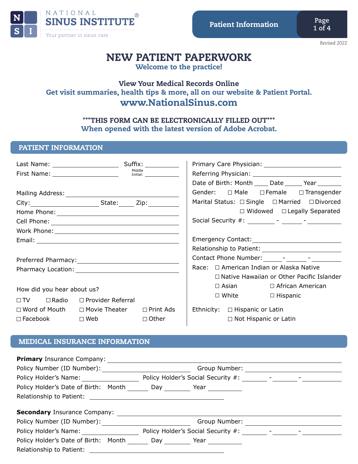

*Revised 2022*

# NEW PATIENT PAPERWORK

Welcome to the practice!

## View Your Medical Records Online Get visit summaries, health tips & more, all on our website & Patient Portal. www.NationalSinus.com

## \*\*\*THIS FORM CAN BE ELECTRONICALLY FILLED OUT\*\*\* When opened with the latest version of Adobe Acrobat.

## PATIENT INFORMATION

|                                                 |                                                            | Middle<br>Initial: __________________ |                                     |                                               | Referring Physician: 2008 2014 2022 2023 2024 2024 2022 2023 2024 2022 2023 2024 2022 2023 2024 2025 2026 2027<br>Date of Birth: Month _____ Date ______ Year _______ |
|-------------------------------------------------|------------------------------------------------------------|---------------------------------------|-------------------------------------|-----------------------------------------------|-----------------------------------------------------------------------------------------------------------------------------------------------------------------------|
|                                                 |                                                            |                                       |                                     |                                               | Gender: $\square$ Male $\square$ Female $\square$ Transgender                                                                                                         |
|                                                 | City: City: City: City: City: City:                        |                                       |                                     |                                               | Marital Status: □ Single □ Married □ Divorced                                                                                                                         |
|                                                 |                                                            |                                       |                                     |                                               | $\Box$ Widowed $\Box$ Legally Separated                                                                                                                               |
|                                                 |                                                            |                                       |                                     |                                               |                                                                                                                                                                       |
|                                                 |                                                            |                                       |                                     |                                               |                                                                                                                                                                       |
|                                                 |                                                            |                                       |                                     |                                               |                                                                                                                                                                       |
|                                                 |                                                            |                                       |                                     |                                               |                                                                                                                                                                       |
|                                                 |                                                            |                                       |                                     |                                               | Contact Phone Number: The Contact Phone Number:                                                                                                                       |
|                                                 |                                                            |                                       |                                     | Race: $\Box$ American Indian or Alaska Native |                                                                                                                                                                       |
|                                                 |                                                            |                                       |                                     |                                               | $\Box$ Native Hawaiian or Other Pacific Islander                                                                                                                      |
| How did you hear about us?                      |                                                            |                                       |                                     | $\Box$ Asian $\Box$ African American          |                                                                                                                                                                       |
| $\Box TV$ $\Box$ Radio $\Box$ Provider Referral |                                                            |                                       |                                     | $\Box$ White $\Box$ Hispanic                  |                                                                                                                                                                       |
|                                                 | $\Box$ Word of Mouth $\Box$ Movie Theater $\Box$ Print Ads |                                       | Ethnicity: $\Box$ Hispanic or Latin |                                               |                                                                                                                                                                       |
|                                                 | $\square$ Facebook $\square$ Web                           | $\Box$ Other                          |                                     | $\Box$ Not Hispanic or Latin                  |                                                                                                                                                                       |

## MEDICAL INSURANCE INFORMATION

| <b>Primary</b> Insurance Company:                                                                                                                                                                                              |               |                                                                                                                                                                                                                                |  |  |  |
|--------------------------------------------------------------------------------------------------------------------------------------------------------------------------------------------------------------------------------|---------------|--------------------------------------------------------------------------------------------------------------------------------------------------------------------------------------------------------------------------------|--|--|--|
| Policy Number (ID Number):                                                                                                                                                                                                     | Group Number: |                                                                                                                                                                                                                                |  |  |  |
| Policy Holder's Name:                                                                                                                                                                                                          |               | Policy Holder's Social Security #: The Contract of the Contract of the Contract of the Contract of the Contract of the Contract of the Contract of the Contract of the Contract of the Contract of the Contract of the Contrac |  |  |  |
| Policy Holder's Date of Birth: Month                                                                                                                                                                                           | Day           | Year                                                                                                                                                                                                                           |  |  |  |
| Relationship to Patient: Network and the set of the set of the set of the set of the set of the set of the set of the set of the set of the set of the set of the set of the set of the set of the set of the set of the set o |               |                                                                                                                                                                                                                                |  |  |  |
| <b>Secondary Insurance Company:</b>                                                                                                                                                                                            |               |                                                                                                                                                                                                                                |  |  |  |
| Policy Number (ID Number):                                                                                                                                                                                                     |               | Group Number:                                                                                                                                                                                                                  |  |  |  |
| Policy Holder's Name:                                                                                                                                                                                                          |               | Policy Holder's Social Security #:                                                                                                                                                                                             |  |  |  |
| Policy Holder's Date of Birth: Month                                                                                                                                                                                           | Day           | Year                                                                                                                                                                                                                           |  |  |  |
| Relationship to Patient:                                                                                                                                                                                                       |               |                                                                                                                                                                                                                                |  |  |  |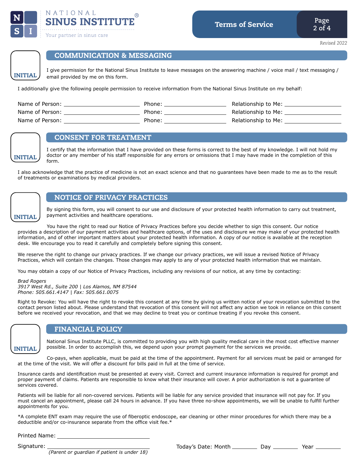

INITIAL



## COMMUNICATION & MESSAGING

I give permission for the National Sinus Institute to leave messages on the answering machine / voice mail / text messaging / email provided by me on this form.

I additionally give the following people permission to receive information from the National Sinus Institute on my behalf:

| Name of Person: | Phone: | Relationship to Me: |
|-----------------|--------|---------------------|
| Name of Person: | Phone: | Relationship to Me: |
| Name of Person: | Phone: | Relationship to Me: |



## CONSENT FOR TREATMENT

I certify that the information that I have provided on these forms is correct to the best of my knowledge. I will not hold my doctor or any member of his staff responsible for any errors or omissions that I may have made in the completion of this form.

I also acknowledge that the practice of medicine is not an exact science and that no guarantees have been made to me as to the result of treatments or examinations by medical providers.



#### NOTICE OF PRIVACY PRACTICES

By signing this form, you will consent to our use and disclosure of your protected health information to carry out treatment, payment activities and healthcare operations.

 You have the right to read our Notice of Privacy Practices before you decide whether to sign this consent. Our notice provides a description of our payment activities and healthcare options, of the uses and disclosure we may make of your protected health information, and of other important matters about your protected health information. A copy of our notice is available at the reception desk. We encourage you to read it carefully and completely before signing this consent.

We reserve the right to change our privacy practices. If we change our privacy practices, we will issue a revised Notice of Privacy Practices, which will contain the changes. Those changes may apply to any of your protected health information that we maintain.

You may obtain a copy of our Notice of Privacy Practices, including any revisions of our notice, at any time by contacting:

#### *Brad Rogers*

*3917 West Rd., Suite 200 | Los Alamos, NM 87544 Phone: 505.661.4147 | Fax: 505.661.0075*

Right to Revoke: You will have the right to revoke this consent at any time by giving us written notice of your revocation submitted to the contact person listed about. Please understand that revocation of this consent will not affect any action we took in reliance on this consent before we received your revocation, and that we may decline to treat you or continue treating if you revoke this consent.



#### FINANCIAL POLICY

National Sinus Institute PLLC, is committed to providing you with high quality medical care in the most cost effective manner possible. In order to accomplish this, we depend upon your prompt payment for the services we provide.

 Co-pays, when applicable, must be paid at the time of the appointment. Payment for all services must be paid or arranged for at the time of the visit. We will offer a discount for bills paid in full at the time of service.

Insurance cards and identification must be presented at every visit. Correct and current insurance information is required for prompt and proper payment of claims. Patients are responsible to know what their insurance will cover. A prior authorization is not a guarantee of services covered.

Patients will be liable for all non-covered services. Patients will be liable for any service provided that insurance will not pay for. If you must cancel an appointment, please call 24 hours in advance. If you have three no-show appointments, we will be unable to fulfill further appointments for you.

\*A complete ENT exam may require the use of fiberoptic endoscope, ear cleaning or other minor procedures for which there may be a deductible and/or co-insurance separate from the office visit fee.\*

Printed Name:

Signature:

 *(Parent or guardian if patient is under 18)*

Today's Date: Month \_\_\_\_\_\_\_\_\_\_\_\_\_ Day \_\_\_\_\_\_\_\_\_\_\_\_\_\_ Year \_\_\_\_\_\_\_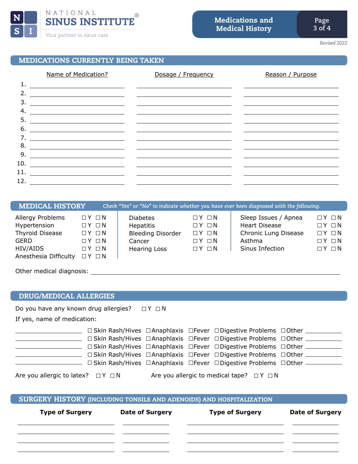

*Revised 2022*

## MEDICATIONS CURRENTLY BEING TAKEN

|     | Name of Medication?                                                                                                  | Dosage / Frequency                                                                                                    | Reason / Purpose |
|-----|----------------------------------------------------------------------------------------------------------------------|-----------------------------------------------------------------------------------------------------------------------|------------------|
| 1.  |                                                                                                                      | <u> 1989 - Johann Harry Barn, mars ar breist fan de Fryske kommunent fan de Fryske kommunent fan de Fryske kommun</u> |                  |
| 2.  |                                                                                                                      | <u> 1999 - Johann Harry Harry Harry Harry Harry Harry Harry Harry Harry Harry Harry Harry Harry Harry Harry Harry</u> |                  |
| 3.  | <u> 1989 - Johann Stein, marwolaethau a bhann an t-Amhair an t-Amhair an t-Amhair an t-Amhair an t-Amhair an t-A</u> | <u> 1989 - Andrea State Barbara, amerikan personal di personal dengan personal dengan personal dengan personal de</u> |                  |
| 4.  |                                                                                                                      |                                                                                                                       |                  |
| 5.  |                                                                                                                      |                                                                                                                       |                  |
| 6.  |                                                                                                                      |                                                                                                                       |                  |
| 7.  | <u> 1980 - Jan Stein Stein Stein Stein Stein Stein Stein Stein Stein Stein Stein Stein Stein Stein Stein Stein S</u> |                                                                                                                       |                  |
| 8.  | <u> 1989 - Andrea Andrew Maria (h. 1989).</u>                                                                        |                                                                                                                       |                  |
| 9.  | <u> 1980 - Jan Stein Harry Harry Harry Harry Harry Harry Harry Harry Harry Harry Harry Harry Harry Harry Harry</u>   |                                                                                                                       |                  |
| 10. | <u> 1990 - Jan James James Sandarík (f. 1980)</u>                                                                    |                                                                                                                       |                  |
| 11. |                                                                                                                      |                                                                                                                       |                  |
| 12. | <u> 1999 - Jan Ja</u>                                                                                                |                                                                                                                       |                  |

| <b>MEDICAL HISTORY</b>                                                                           |                                                                                                                                                    |                                                                                                  |                                                                                                                           | Check "Yes" or "No" to indicate whether you have ever been diagnosed with the following.          |                                                                                                                           |
|--------------------------------------------------------------------------------------------------|----------------------------------------------------------------------------------------------------------------------------------------------------|--------------------------------------------------------------------------------------------------|---------------------------------------------------------------------------------------------------------------------------|---------------------------------------------------------------------------------------------------|---------------------------------------------------------------------------------------------------------------------------|
| Allergy Problems<br>Hypertension<br>Thyroid Disease<br>GERD<br>HIV/AIDS<br>Anesthesia Difficulty | $\Box$ $Y$ $\Box$ $N$<br>$\Box$ $Y$ $\Box$ $N$<br>$\Box$ $Y$ $\Box$ $N$<br>$\Box$ $Y$ $\Box$ $N$<br>$\Box$ $Y$ $\Box$ $N$<br>$\Box$ $Y$ $\Box$ $N$ | <b>Diabetes</b><br><b>Hepatitis</b><br><b>Bleeding Disorder</b><br>Cancer<br><b>Hearing Loss</b> | $\Box$ $Y$ $\Box$ $N$<br>$\Box$ $Y$ $\Box$ $N$<br>$\Box$ $Y$ $\Box$ $N$<br>$\Box$ $Y$ $\Box$ $N$<br>$\Box$ $Y$ $\Box$ $N$ | Sleep Issues / Apnea<br><b>Heart Disease</b><br>Chronic Lung Disease<br>Asthma<br>Sinus Infection | $\Box$ $Y$ $\Box$ $N$<br>$\Box$ $Y$ $\Box$ $N$<br>$\Box$ $Y$ $\Box$ $N$<br>$\Box$ $Y$ $\Box$ $N$<br>$\Box$ $Y$ $\Box$ $N$ |
| Other medical diagnosis:                                                                         |                                                                                                                                                    |                                                                                                  |                                                                                                                           |                                                                                                   |                                                                                                                           |

## DRUG/MEDICAL ALLERGIES

Do you have any known drug allergies?  $\Box Y \Box N$ 

If yes, name of medication:

|                                            | □ Skin Rash/Hives □ Anaphlaxis □ Fever □ Digestive Problems □ Other                                |  |
|--------------------------------------------|----------------------------------------------------------------------------------------------------|--|
|                                            | □ Skin Rash/Hives □ Anaphlaxis □ Fever □ Digestive Problems □ Other                                |  |
|                                            | $\Box$ Skin Rash/Hives $\Box$ Anaphlaxis $\Box$ Fever $\Box$ Digestive Problems $\Box$ Other _____ |  |
|                                            | □ Skin Rash/Hives □ Anaphlaxis □ Fever □ Digestive Problems □ Other                                |  |
|                                            | □ Skin Rash/Hives □ Anaphlaxis □ Fever □ Digestive Problems □ Other —                              |  |
|                                            |                                                                                                    |  |
| Are you allergic to latex? $\Box Y \Box N$ | Are you allergic to medical tape? $\Box Y \Box N$                                                  |  |

## SURGERY HISTORY (INCLUDING TONSILS AND ADENOIDS) AND HOSPITALIZATION

| <b>Type of Surgery</b> | <b>Date of Surgery</b> | <b>Type of Surgery</b> | <b>Date of Surgery</b> |  |
|------------------------|------------------------|------------------------|------------------------|--|
|                        |                        |                        |                        |  |
|                        |                        |                        |                        |  |